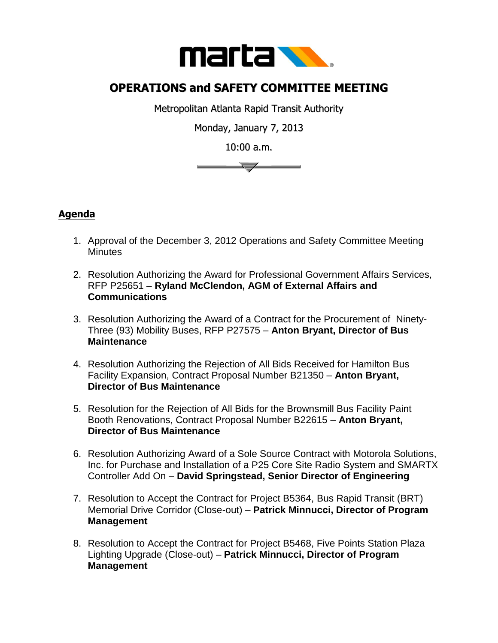

## **OPERATIONS and SAFETY COMMITTEE MEETING**

Metropolitan Atlanta Rapid Transit Authority

Monday, January 7, 2013

10:00 a.m.



## **Agenda**

- 1. Approval of the December 3, 2012 Operations and Safety Committee Meeting **Minutes**
- 2. Resolution Authorizing the Award for Professional Government Affairs Services, RFP P25651 – **Ryland McClendon, AGM of External Affairs and Communications**
- 3. Resolution Authorizing the Award of a Contract for the Procurement of Ninety-Three (93) Mobility Buses, RFP P27575 – **Anton Bryant, Director of Bus Maintenance**
- 4. Resolution Authorizing the Rejection of All Bids Received for Hamilton Bus Facility Expansion, Contract Proposal Number B21350 – **Anton Bryant, Director of Bus Maintenance**
- 5. Resolution for the Rejection of All Bids for the Brownsmill Bus Facility Paint Booth Renovations, Contract Proposal Number B22615 – **Anton Bryant, Director of Bus Maintenance**
- 6. Resolution Authorizing Award of a Sole Source Contract with Motorola Solutions, Inc. for Purchase and Installation of a P25 Core Site Radio System and SMARTX Controller Add On – **David Springstead, Senior Director of Engineering**
- 7. Resolution to Accept the Contract for Project B5364, Bus Rapid Transit (BRT) Memorial Drive Corridor (Close-out) – **Patrick Minnucci, Director of Program Management**
- 8. Resolution to Accept the Contract for Project B5468, Five Points Station Plaza Lighting Upgrade (Close-out) – **Patrick Minnucci, Director of Program Management**